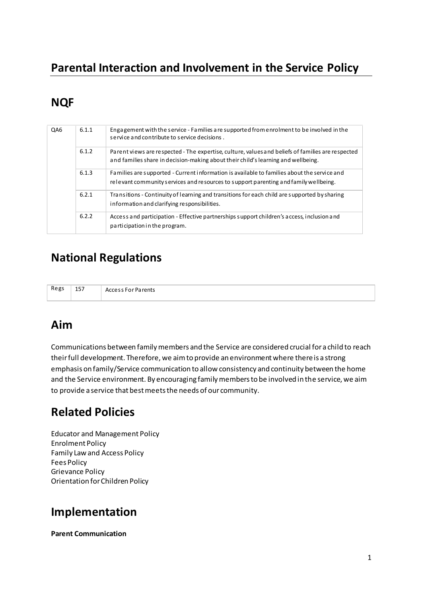# Parental Interaction and Involvement in the Service Policy

# **NQF**

| QA6 | 6.1.1 | Engagement with the service - Families are supported from enrolment to be involved in the<br>service and contribute to service decisions.                                              |
|-----|-------|----------------------------------------------------------------------------------------------------------------------------------------------------------------------------------------|
|     | 6.1.2 | Parent views are respected - The expertise, culture, values and beliefs of families are respected<br>and families share in decision-making about their child's learning and wellbeing. |
|     | 6.1.3 | Families are supported - Current information is available to families about the service and<br>relevant community services and resources to support parenting and family wellbeing.    |
|     | 6.2.1 | Transitions - Continuity of learning and transitions for each child are supported by sharing<br>information and clarifying responsibilities.                                           |
|     | 6.2.2 | Access and participation - Effective partnerships support children's access, inclusion and<br>participation in the program.                                                            |

## **National Regulations**

| Regs | 157 | Arrocr<br>'a rents |
|------|-----|--------------------|
|      |     |                    |

## Aim

Communications between family members and the Service are considered crucial for a child to reach their full development. Therefore, we aim to provide an environment where there is a strong emphasis on family/Service communication to allow consistency and continuity between the home and the Service environment. By encouraging family members to be involved in the service, we aim to provide a service that best meets the needs of our community.

## **Related Policies**

**Educator and Management Policy Enrolment Policy** Family Law and Access Policy **Fees Policy Grievance Policy** Orientation for Children Policy

## Implementation

**Parent Communication**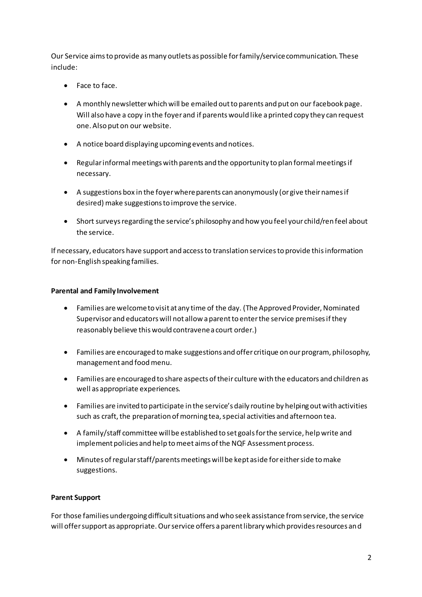Our Service aims to provide as many outlets as possible for family/service communication. These include:

- Face to face.
- A monthly newsletter which will be emailed out to parents and put on our facebook page. Will also have a copy in the foyer and if parents would like a printed copy they can request one. Also put on our website.
- A notice board displaying upcoming events and notices.
- Regular informal meetings with parents and the opportunity to plan formal meetings if  $\bullet$ necessary.
- A suggestions box in the foyer where parents can anonymously (or give their names if desired) make suggestions to improve the service.
- Short surveys regarding the service's philosophy and how you feel your child/ren feel about the service.

If necessary, educators have support and access to translation services to provide this information for non-English speaking families.

#### **Parental and Family Involvement**

- $\bullet$ Families are welcome to visit at any time of the day. (The Approved Provider, Nominated Supervisor and educators will not allow a parent to enter the service premises if they reasonably believe this would contravene a court order.)
- Families are encouraged to make suggestions and offer critique on our program, philosophy, management and food menu.
- Families are encouraged to share aspects of their culture with the educators and children as well as appropriate experiences.
- Families are invited to participate in the service's daily routine by helping out with activities such as craft, the preparation of morning tea, special activities and afternoon tea.
- A family/staff committee will be established to set goals for the service, help write and implement policies and help to meet aims of the NQF Assessment process.
- Minutes of regular staff/parents meetings will be kept aside for either side to make  $\bullet$ suggestions.

#### **Parent Support**

For those families undergoing difficult situations and who seek assistance from service, the service will offer support as appropriate. Our service offers a parent library which provides resources and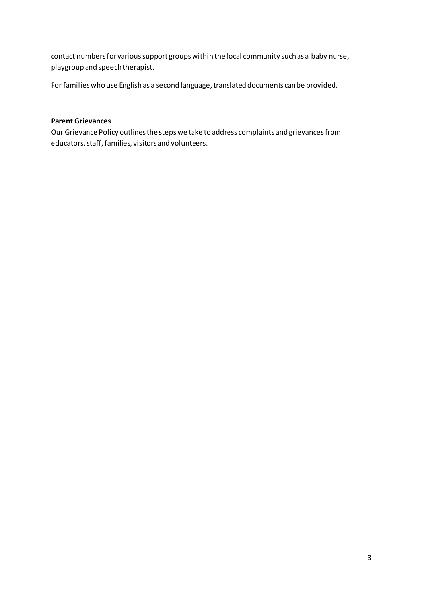contact numbers for various support groups within the local community such as a baby nurse, playgroup and speech therapist.

For families who use English as a second language, translated documents can be provided.

### **Parent Grievances**

Our Grievance Policy outlines the steps we take to address complaints and grievances from educators, staff, families, visitors and volunteers.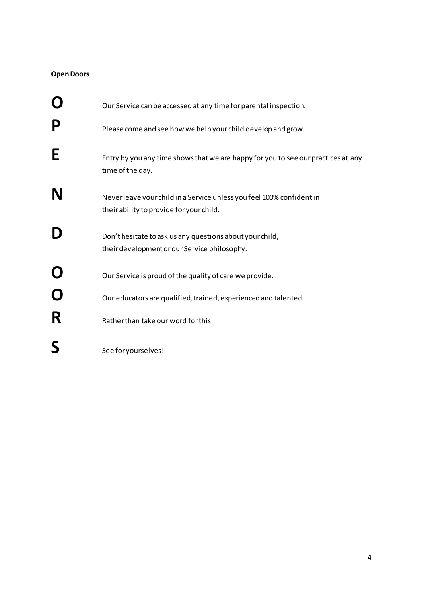### **Open Doors**

|             | Our Service can be accessed at any time for parental inspection.                                                  |
|-------------|-------------------------------------------------------------------------------------------------------------------|
| P           | Please come and see how we help your child develop and grow.                                                      |
| E           | Entry by you any time shows that we are happy for you to see our practices at any<br>time of the day.             |
| N           | Never leave your child in a Service unless you feel 100% confident in<br>their ability to provide for your child. |
|             | Don't hesitate to ask us any questions about your child,<br>their development or our Service philosophy.          |
| $\mathbf O$ | Our Service is proud of the quality of care we provide.                                                           |
| R           | Our educators are qualified, trained, experienced and talented.<br>Rather than take our word for this             |
|             | See for yourselves!                                                                                               |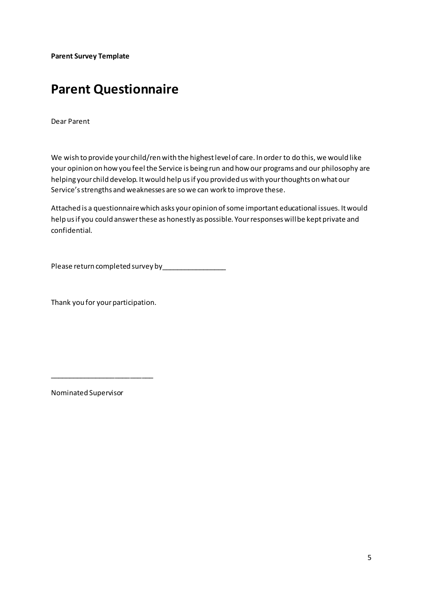**Parent Survey Template** 

# **Parent Questionnaire**

Dear Parent

We wish to provide your child/ren with the highest level of care. In order to do this, we would like your opinion on how you feel the Service is being run and how our programs and our philosophy are helping your child develop. It would help us if you provided us with your thoughts on what our Service's strengths and weaknesses are so we can work to improve these.

Attached is a questionnaire which asks your opinion of some important educational issues. It would help us if you could answer these as honestly as possible. Your responses will be kept private and confidential.

Please return completed survey by\_\_\_\_\_\_\_\_\_\_\_\_\_\_\_\_\_

Thank you for your participation.

\_\_\_\_\_\_\_\_\_\_\_\_\_\_\_\_\_\_\_\_\_\_\_\_\_\_\_

Nominated Supervisor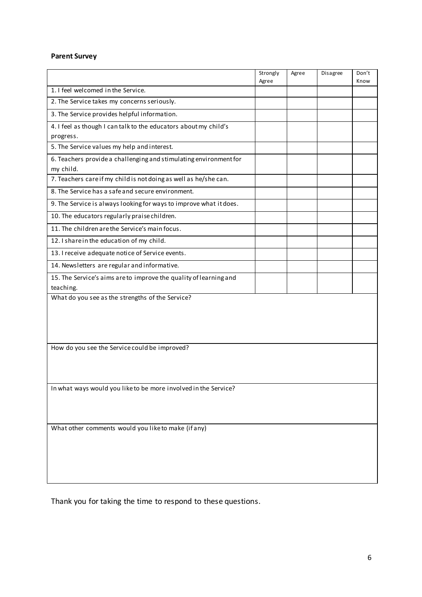### **Parent Survey**

|                                                                                | Strongly<br>Agree | Agree | Disagree | Don't<br>Know |  |  |  |  |
|--------------------------------------------------------------------------------|-------------------|-------|----------|---------------|--|--|--|--|
| 1. I feel welcomed in the Service.                                             |                   |       |          |               |  |  |  |  |
| 2. The Service takes my concerns seriously.                                    |                   |       |          |               |  |  |  |  |
| 3. The Service provides helpful information.                                   |                   |       |          |               |  |  |  |  |
| 4. I feel as though I can talk to the educators about my child's               |                   |       |          |               |  |  |  |  |
| progress.                                                                      |                   |       |          |               |  |  |  |  |
| 5. The Service values my help and interest.                                    |                   |       |          |               |  |  |  |  |
| 6. Teachers provide a challenging and stimulating environment for<br>my child. |                   |       |          |               |  |  |  |  |
| 7. Teachers care if my child is not doing as well as he/she can.               |                   |       |          |               |  |  |  |  |
| 8. The Service has a safe and secure environment.                              |                   |       |          |               |  |  |  |  |
| 9. The Service is always looking for ways to improve what it does.             |                   |       |          |               |  |  |  |  |
| 10. The educators regularly praise children.                                   |                   |       |          |               |  |  |  |  |
| 11. The children are the Service's main focus.                                 |                   |       |          |               |  |  |  |  |
| 12. I share in the education of my child.                                      |                   |       |          |               |  |  |  |  |
| 13. I receive adequate notice of Service events.                               |                   |       |          |               |  |  |  |  |
| 14. Newsletters are regular and informative.                                   |                   |       |          |               |  |  |  |  |
| 15. The Service's aims are to improve the quality of learning and              |                   |       |          |               |  |  |  |  |
| teaching.                                                                      |                   |       |          |               |  |  |  |  |
| What do you see as the strengths of the Service?                               |                   |       |          |               |  |  |  |  |
|                                                                                |                   |       |          |               |  |  |  |  |
|                                                                                |                   |       |          |               |  |  |  |  |
|                                                                                |                   |       |          |               |  |  |  |  |
|                                                                                |                   |       |          |               |  |  |  |  |
| How do you see the Service could be improved?                                  |                   |       |          |               |  |  |  |  |
|                                                                                |                   |       |          |               |  |  |  |  |
|                                                                                |                   |       |          |               |  |  |  |  |
| In what ways would you like to be more involved in the Service?                |                   |       |          |               |  |  |  |  |
|                                                                                |                   |       |          |               |  |  |  |  |
|                                                                                |                   |       |          |               |  |  |  |  |
|                                                                                |                   |       |          |               |  |  |  |  |
| What other comments would you like to make (if any)                            |                   |       |          |               |  |  |  |  |
|                                                                                |                   |       |          |               |  |  |  |  |
|                                                                                |                   |       |          |               |  |  |  |  |
|                                                                                |                   |       |          |               |  |  |  |  |
|                                                                                |                   |       |          |               |  |  |  |  |

Thank you for taking the time to respond to these questions.